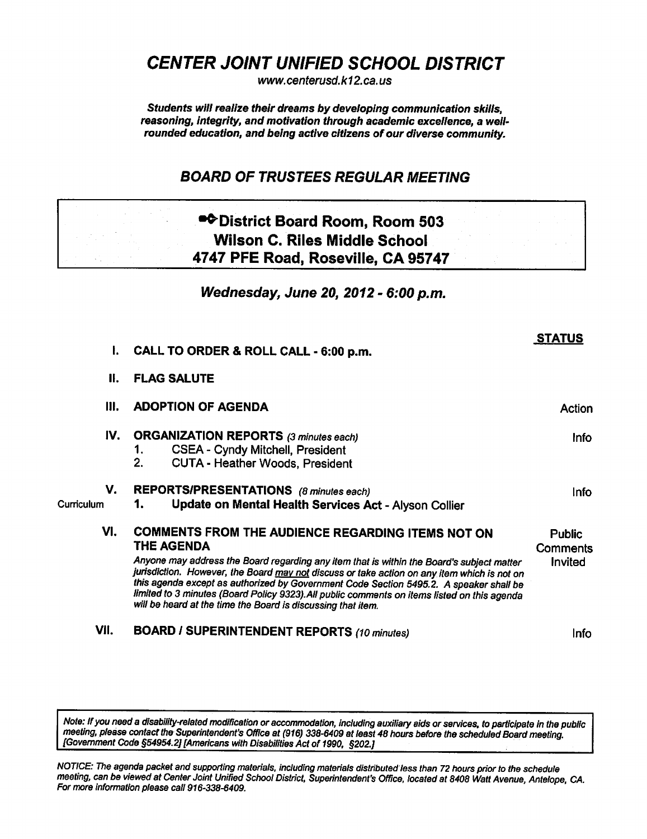CENTER JOINT UNIFIED SCHOOL DISTRICT

www. centerusd. k12.ca.us

Students will realize their dreams by developing communication skills, reasoning, integrity, and motivation through academic excellence, a well' rounded education, and being active citizens of our diverse community.

### BOARD OF TRUSTEES REGULAR MEETING

# •^District Board Room, Room 503 Wilson C. Riles Middle School 4747 PFE Road, Roseville, CA 95747

Wednesday, June 20, 2012 - 6:00 p.m.

STATUS

| $\mathbf{L}$     | CALL TO ORDER & ROLL CALL - 6:00 p.m.                                                                                                                                                                                                                                                                                                                                                                                                                                                                                        |             |  |
|------------------|------------------------------------------------------------------------------------------------------------------------------------------------------------------------------------------------------------------------------------------------------------------------------------------------------------------------------------------------------------------------------------------------------------------------------------------------------------------------------------------------------------------------------|-------------|--|
| II.              | <b>FLAG SALUTE</b>                                                                                                                                                                                                                                                                                                                                                                                                                                                                                                           |             |  |
| III.             | <b>ADOPTION OF AGENDA</b>                                                                                                                                                                                                                                                                                                                                                                                                                                                                                                    |             |  |
| IV.              | <b>ORGANIZATION REPORTS (3 minutes each)</b><br><b>CSEA - Cyndy Mitchell, President</b><br>1.<br>2.<br><b>CUTA - Heather Woods, President</b>                                                                                                                                                                                                                                                                                                                                                                                | <u>Info</u> |  |
| V.<br>Curriculum | <b>REPORTS/PRESENTATIONS</b> (8 minutes each)<br>Update on Mental Health Services Act - Alyson Collier<br>1.                                                                                                                                                                                                                                                                                                                                                                                                                 | <b>Info</b> |  |
| VI.              | COMMENTS FROM THE AUDIENCE REGARDING ITEMS NOT ON<br><b>THE AGENDA</b><br>Anyone may address the Board regarding any item that is within the Board's subject matter<br>jurisdiction. However, the Board may not discuss or take action on any item which is not on<br>this agenda except as authorized by Government Code Section 5495.2. A speaker shall be<br>limited to 3 minutes (Board Policy 9323). All public comments on items listed on this agenda<br>will be heard at the time the Board is discussing that item. |             |  |
| VII.             | <b>BOARD / SUPERINTENDENT REPORTS (10 minutes)</b>                                                                                                                                                                                                                                                                                                                                                                                                                                                                           | Info        |  |

Note: If you need a disability-related modification or accommodation, including auxiliary aids or services, to participate in the public meeting, please contact the Superintendent's Office at (916) 338-6409 at least 48 hours before the scheduled Board meeting [Government Code §54954.2] [Americans with Disabilities Act of 1990, §202.]

NOTICE: The agenda packet and supporting materials, including materials distributed less than 72 hours prior to the schedule meeting, can be viewed at Center Joint Unified School District, Superintendent's Office, located at 8408 Watt Avenue, Antelope, CA. For more information please call 916-338-6409.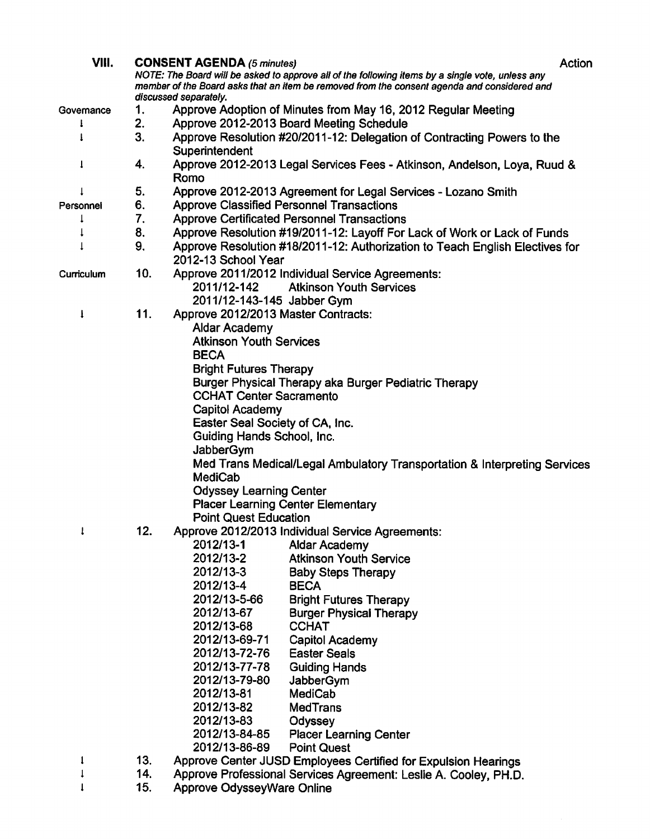| VIII.      |                                                                                                  | <b>CONSENT AGENDA (5 minutes)</b>   |                                                                                             | Action |  |  |  |
|------------|--------------------------------------------------------------------------------------------------|-------------------------------------|---------------------------------------------------------------------------------------------|--------|--|--|--|
|            | NOTE: The Board will be asked to approve all of the following items by a single vote, unless any |                                     |                                                                                             |        |  |  |  |
|            |                                                                                                  |                                     | member of the Board asks that an item be removed from the consent agenda and considered and |        |  |  |  |
|            |                                                                                                  | discussed separately.               |                                                                                             |        |  |  |  |
| Governance | 1.                                                                                               |                                     | Approve Adoption of Minutes from May 16, 2012 Regular Meeting                               |        |  |  |  |
| ŧ          | 2.                                                                                               |                                     | Approve 2012-2013 Board Meeting Schedule                                                    |        |  |  |  |
|            | 3.                                                                                               |                                     | Approve Resolution #20/2011-12: Delegation of Contracting Powers to the                     |        |  |  |  |
|            |                                                                                                  | Superintendent                      |                                                                                             |        |  |  |  |
|            | 4.                                                                                               |                                     | Approve 2012-2013 Legal Services Fees - Atkinson, Andelson, Loya, Ruud &                    |        |  |  |  |
|            |                                                                                                  | Romo                                |                                                                                             |        |  |  |  |
|            | 5.                                                                                               |                                     | Approve 2012-2013 Agreement for Legal Services - Lozano Smith                               |        |  |  |  |
| Personnel  | 6.                                                                                               |                                     | <b>Approve Classified Personnel Transactions</b>                                            |        |  |  |  |
|            | 7.                                                                                               |                                     | <b>Approve Certificated Personnel Transactions</b>                                          |        |  |  |  |
|            | 8.                                                                                               |                                     | Approve Resolution #19/2011-12: Layoff For Lack of Work or Lack of Funds                    |        |  |  |  |
|            | 9.                                                                                               |                                     | Approve Resolution #18/2011-12: Authorization to Teach English Electives for                |        |  |  |  |
|            |                                                                                                  | 2012-13 School Year                 |                                                                                             |        |  |  |  |
| Curriculum | 10.                                                                                              |                                     | Approve 2011/2012 Individual Service Agreements:                                            |        |  |  |  |
|            |                                                                                                  | 2011/12-142                         | <b>Atkinson Youth Services</b>                                                              |        |  |  |  |
|            |                                                                                                  | 2011/12-143-145 Jabber Gym          |                                                                                             |        |  |  |  |
| I          | 11.                                                                                              | Approve 2012/2013 Master Contracts: |                                                                                             |        |  |  |  |
|            |                                                                                                  | <b>Aldar Academy</b>                |                                                                                             |        |  |  |  |
|            |                                                                                                  | <b>Atkinson Youth Services</b>      |                                                                                             |        |  |  |  |
|            |                                                                                                  | <b>BECA</b>                         |                                                                                             |        |  |  |  |
|            |                                                                                                  | <b>Bright Futures Therapy</b>       |                                                                                             |        |  |  |  |
|            |                                                                                                  |                                     | Burger Physical Therapy aka Burger Pediatric Therapy                                        |        |  |  |  |
|            |                                                                                                  | <b>CCHAT Center Sacramento</b>      |                                                                                             |        |  |  |  |
|            |                                                                                                  | <b>Capitol Academy</b>              |                                                                                             |        |  |  |  |
|            |                                                                                                  | Easter Seal Society of CA, Inc.     |                                                                                             |        |  |  |  |
|            |                                                                                                  | Guiding Hands School, Inc.          |                                                                                             |        |  |  |  |
|            |                                                                                                  | JabberGym                           |                                                                                             |        |  |  |  |
|            |                                                                                                  |                                     | Med Trans Medical/Legal Ambulatory Transportation & Interpreting Services                   |        |  |  |  |
|            |                                                                                                  | <b>MediCab</b>                      |                                                                                             |        |  |  |  |
|            |                                                                                                  | <b>Odyssey Learning Center</b>      |                                                                                             |        |  |  |  |
|            |                                                                                                  |                                     | <b>Placer Learning Center Elementary</b>                                                    |        |  |  |  |
|            |                                                                                                  | <b>Point Quest Education</b>        |                                                                                             |        |  |  |  |
|            | 12                                                                                               |                                     | Approve 2012/2013 Individual Service Agreements:                                            |        |  |  |  |
|            |                                                                                                  | 2012/13-1                           | Aldar Academy                                                                               |        |  |  |  |
|            |                                                                                                  | 2012/13-2                           | <b>Atkinson Youth Service</b>                                                               |        |  |  |  |
|            |                                                                                                  | 2012/13-3                           | <b>Baby Steps Therapy</b>                                                                   |        |  |  |  |
|            |                                                                                                  | 2012/13-4                           | <b>BECA</b>                                                                                 |        |  |  |  |
|            |                                                                                                  | 2012/13-5-66                        | <b>Bright Futures Therapy</b>                                                               |        |  |  |  |
|            |                                                                                                  | 2012/13-67                          | <b>Burger Physical Therapy</b>                                                              |        |  |  |  |
|            |                                                                                                  | 2012/13-68                          | <b>CCHAT</b>                                                                                |        |  |  |  |
|            |                                                                                                  | 2012/13-69-71                       | Capitol Academy                                                                             |        |  |  |  |
|            |                                                                                                  | 2012/13-72-76                       | <b>Easter Seals</b>                                                                         |        |  |  |  |
|            |                                                                                                  | 2012/13-77-78                       | <b>Guiding Hands</b>                                                                        |        |  |  |  |
|            |                                                                                                  | 2012/13-79-80                       | JabberGym                                                                                   |        |  |  |  |
|            |                                                                                                  | 2012/13-81                          | MediCab                                                                                     |        |  |  |  |
|            |                                                                                                  | 2012/13-82                          | <b>MedTrans</b>                                                                             |        |  |  |  |
|            |                                                                                                  | 2012/13-83                          | Odyssey                                                                                     |        |  |  |  |
|            |                                                                                                  | 2012/13-84-85                       | <b>Placer Learning Center</b>                                                               |        |  |  |  |
|            |                                                                                                  | 2012/13-86-89                       | <b>Point Quest</b>                                                                          |        |  |  |  |
| 1          | 13.                                                                                              |                                     | Approve Center JUSD Employees Certified for Expulsion Hearings                              |        |  |  |  |
|            | 14.                                                                                              |                                     | Approve Professional Services Agreement: Leslie A. Cooley, PH.D.                            |        |  |  |  |
|            | 15.                                                                                              | Approve OdysseyWare Online          |                                                                                             |        |  |  |  |

15. Approve OdysseyWare Online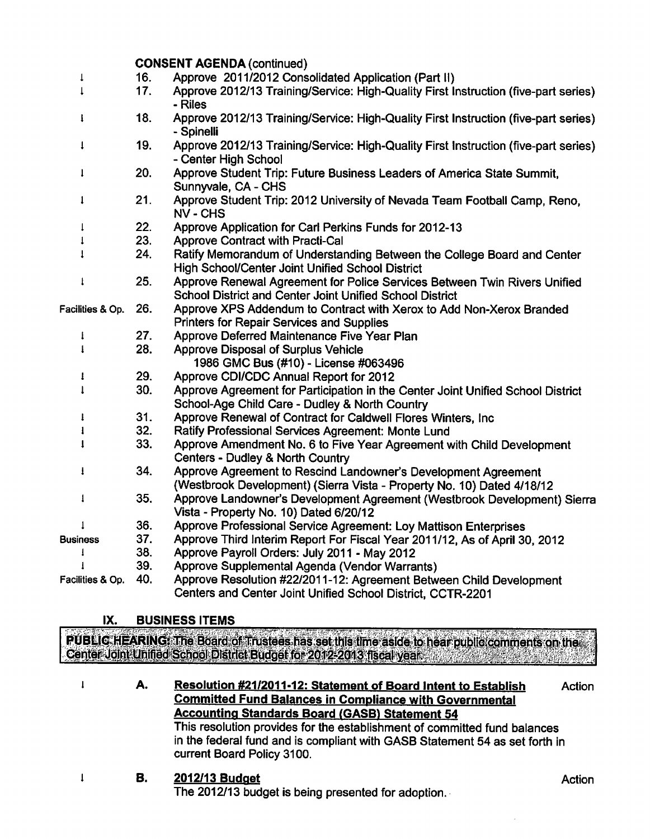|                  | <b>CONSENT AGENDA (continued)</b> |                                                                                                                                              |  |  |  |
|------------------|-----------------------------------|----------------------------------------------------------------------------------------------------------------------------------------------|--|--|--|
|                  | 16.                               | Approve 2011/2012 Consolidated Application (Part II)                                                                                         |  |  |  |
|                  | 17.                               | Approve 2012/13 Training/Service: High-Quality First Instruction (five-part series)<br>- Riles                                               |  |  |  |
| I                | 18.                               | Approve 2012/13 Training/Service: High-Quality First Instruction (five-part series)<br>- Spinelli                                            |  |  |  |
| 1                | 19.                               | Approve 2012/13 Training/Service: High-Quality First Instruction (five-part series)<br>- Center High School                                  |  |  |  |
| 1                | 20.                               | Approve Student Trip: Future Business Leaders of America State Summit,<br>Sunnyvale, CA - CHS                                                |  |  |  |
| 1                | 21.                               | Approve Student Trip: 2012 University of Nevada Team Football Camp, Reno,<br><b>NV - CHS</b>                                                 |  |  |  |
| $\downarrow$     | 22.                               | Approve Application for Carl Perkins Funds for 2012-13                                                                                       |  |  |  |
| 1                | 23.                               | <b>Approve Contract with Practi-Cal</b>                                                                                                      |  |  |  |
|                  | 24.                               | Ratify Memorandum of Understanding Between the College Board and Center<br>High School/Center Joint Unified School District                  |  |  |  |
| $\mathbf{I}$     | 25.                               | Approve Renewal Agreement for Police Services Between Twin Rivers Unified<br><b>School District and Center Joint Unified School District</b> |  |  |  |
| Facilities & Op. | 26.                               | Approve XPS Addendum to Contract with Xerox to Add Non-Xerox Branded<br><b>Printers for Repair Services and Supplies</b>                     |  |  |  |
| ţ                | 27.                               | Approve Deferred Maintenance Five Year Plan                                                                                                  |  |  |  |
| $\mathbf{I}$     | 28.                               | <b>Approve Disposal of Surplus Vehicle</b><br>1986 GMC Bus (#10) - License #063496                                                           |  |  |  |
| 1                | 29.                               | Approve CDI/CDC Annual Report for 2012                                                                                                       |  |  |  |
| ı                | 30.                               | Approve Agreement for Participation in the Center Joint Unified School District<br>School-Age Child Care - Dudley & North Country            |  |  |  |
| 1                | 31.                               | Approve Renewal of Contract for Caldwell Flores Winters, Inc.                                                                                |  |  |  |
| ı                | 32.                               | Ratify Professional Services Agreement: Monte Lund                                                                                           |  |  |  |
| 1                | 33.                               | Approve Amendment No. 6 to Five Year Agreement with Child Development<br>Centers - Dudley & North Country                                    |  |  |  |
| ī                | 34.                               | Approve Agreement to Rescind Landowner's Development Agreement<br>(Westbrook Development) (Sierra Vista - Property No. 10) Dated 4/18/12     |  |  |  |
| 1                | 35.                               | Approve Landowner's Development Agreement (Westbrook Development) Sierra<br>Vista - Property No. 10) Dated 6/20/12                           |  |  |  |
| $\mathbf{1}$     | 36.                               | Approve Professional Service Agreement: Loy Mattison Enterprises                                                                             |  |  |  |
| <b>Business</b>  | 37.                               | Approve Third Interim Report For Fiscal Year 2011/12, As of April 30, 2012                                                                   |  |  |  |
| I                | 38.                               | Approve Payroll Orders: July 2011 - May 2012                                                                                                 |  |  |  |
| 1                | 39.                               | Approve Supplemental Agenda (Vendor Warrants)                                                                                                |  |  |  |
| Facilities & Op. | 40.                               | Approve Resolution #22/2011-12: Agreement Between Child Development<br>Centers and Center Joint Unified School District, CCTR-2201           |  |  |  |

#### IX. BUSINESS ITEMS

 $\mathbf{I}$ 

 $\mathbf{I}$ 

PUBLIC HEARING: The Board of Trustees has set this time aside to hear public comments on the Center Joint Unified School District Budget for 2012-2013 fiscal year. The contract of the contract of

Resolution #21/2011-12: Statement of Board Intent to Establish Action A. Committed Fund Balances in Compliance with Governmental Accounting Standards Board (GASB) Statement 54 This resolution provides for the establishment of committed fund balances in the federal fund and is compliant with GASB Statement 54 as set forth in current Board Policy 3100.

### B. 2012/13 Budget

The 2012/13 budget is being presented for adoption.

Action